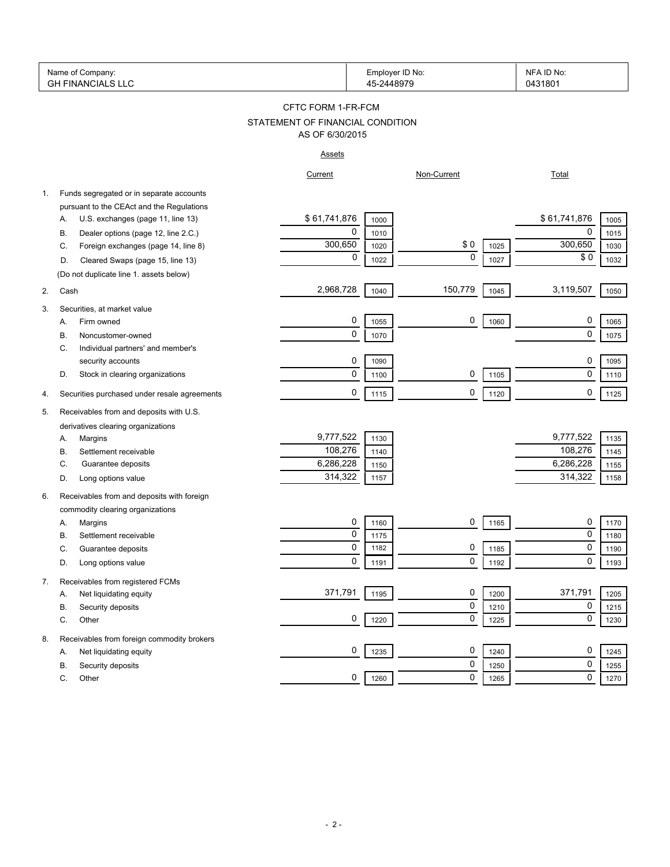|    | Name of Company:<br><b>GH FINANCIALS LLC</b> |                                  | Employer ID No:<br>45-2448979 |             |      | NFA ID No:<br>0431801 |
|----|----------------------------------------------|----------------------------------|-------------------------------|-------------|------|-----------------------|
|    |                                              | CFTC FORM 1-FR-FCM               |                               |             |      |                       |
|    |                                              | STATEMENT OF FINANCIAL CONDITION |                               |             |      |                       |
|    |                                              | AS OF 6/30/2015                  |                               |             |      |                       |
|    |                                              | <b>Assets</b>                    |                               |             |      |                       |
|    |                                              | Current                          |                               | Non-Current |      | <b>Total</b>          |
| 1. | Funds segregated or in separate accounts     |                                  |                               |             |      |                       |
|    | pursuant to the CEAct and the Regulations    |                                  |                               |             |      |                       |
|    | U.S. exchanges (page 11, line 13)<br>А.      | \$61,741,876                     | 1000                          |             |      | \$61,741,876<br>1005  |
|    | Dealer options (page 12, line 2.C.)<br>В.    | 0                                | 1010                          |             |      | 0<br>1015             |
|    | Foreign exchanges (page 14, line 8)<br>C.    | 300,650                          | 1020                          | \$0         | 1025 | 300,650<br>1030       |
|    | Cleared Swaps (page 15, line 13)<br>D.       | 0                                | 1022                          | $\mathbf 0$ | 1027 | \$0<br>1032           |
|    | (Do not duplicate line 1. assets below)      |                                  |                               |             |      |                       |
| 2. | Cash                                         | 2,968,728                        | 1040                          | 150,779     | 1045 | 3,119,507<br>1050     |
| 3. | Securities, at market value                  |                                  |                               |             |      |                       |
|    | Firm owned<br>А.                             | 0                                | 1055                          | 0           | 1060 | 0<br>1065             |
|    | Noncustomer-owned<br>В.                      | 0                                | 1070                          |             |      | 0<br>1075             |
|    | Individual partners' and member's<br>С.      |                                  |                               |             |      |                       |
|    | security accounts                            | 0                                | 1090                          |             |      | 0<br>1095             |
|    | D.<br>Stock in clearing organizations        | 0                                | 1100                          | 0           | 1105 | $\pmb{0}$<br>1110     |
|    |                                              |                                  |                               |             |      |                       |
| 4. | Securities purchased under resale agreements | 0                                | 1115                          | 0           | 1120 | 0<br>1125             |
| 5. | Receivables from and deposits with U.S.      |                                  |                               |             |      |                       |
|    | derivatives clearing organizations           |                                  |                               |             |      |                       |
|    | Margins<br>А.                                | 9,777,522                        | 1130                          |             |      | 9,777,522<br>1135     |
|    | Settlement receivable<br>В.                  | 108,276                          | 1140                          |             |      | 108,276<br>1145       |
|    | C.<br>Guarantee deposits                     | 6,286,228                        | 1150                          |             |      | 6,286,228<br>1155     |
|    | Long options value<br>D.                     | 314,322                          | 1157                          |             |      | 314,322<br>1158       |
| 6. | Receivables from and deposits with foreign   |                                  |                               |             |      |                       |
|    | commodity clearing organizations             |                                  |                               |             |      |                       |
|    | Margins<br>Α.                                | 0                                | 1160                          | 0           | 1165 | 0<br>1170             |
|    | Settlement receivable<br>В.                  | 0                                | 1175                          |             |      | 0<br>1180             |
|    | C.<br>Guarantee deposits                     | 0                                | 1182                          | 0           | 1185 | $\mathbf{0}$<br>1190  |
|    | Long options value<br>D.                     | 0                                | 1191                          | 0           | 1192 | 0<br>1193             |
| 7. | Receivables from registered FCMs             |                                  |                               |             |      |                       |
|    | Net liquidating equity<br>А.                 | 371,791                          | 1195                          | 0           | 1200 | 371,791<br>1205       |
|    | Security deposits<br>В.                      |                                  |                               | 0           | 1210 | 0<br>1215             |
|    | C.<br>Other                                  | 0                                | 1220                          | 0           | 1225 | $\mathbf 0$<br>1230   |
| 8. | Receivables from foreign commodity brokers   |                                  |                               |             |      |                       |
|    | Net liquidating equity<br>Α.                 | 0                                | 1235                          | 0           | 1240 | 0<br>1245             |
|    | Security deposits<br>В.                      |                                  |                               | 0           | 1250 | 0<br>1255             |
|    | С.<br>Other                                  | 0                                | 1260                          | 0           | 1265 | 0<br>1270             |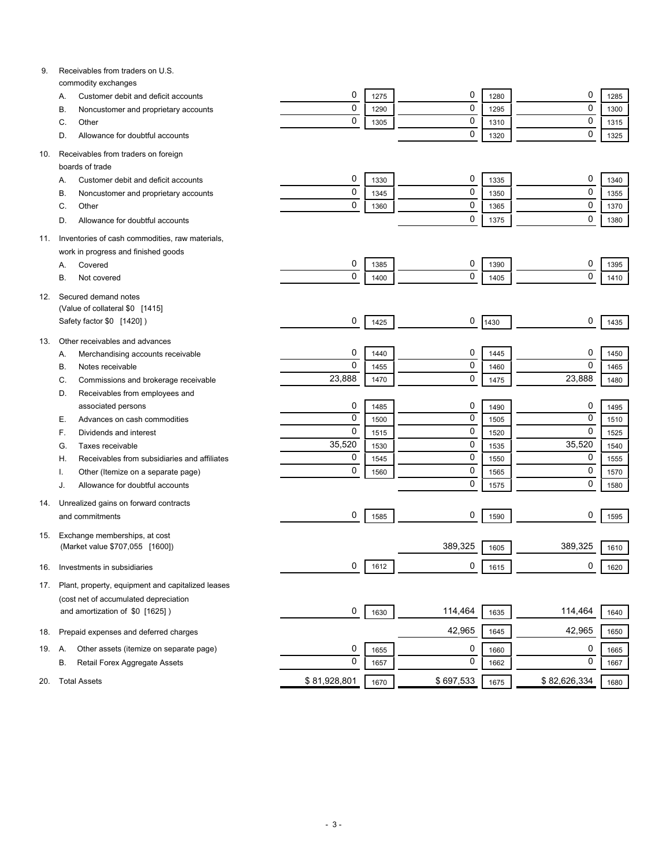| 9.  | Receivables from traders on U.S.                           |              |      |           |      |              |      |
|-----|------------------------------------------------------------|--------------|------|-----------|------|--------------|------|
|     | commodity exchanges<br>Customer debit and deficit accounts | 0            | 1275 | 0         | 1280 | 0            | 1285 |
|     | Α.<br>Noncustomer and proprietary accounts<br>В.           | $\mathbf 0$  | 1290 | 0         | 1295 | $\mathbf 0$  | 1300 |
|     | Other<br>C.                                                | $\mathbf 0$  | 1305 | 0         | 1310 | $\mathbf 0$  | 1315 |
|     | Allowance for doubtful accounts<br>D.                      |              |      | 0         | 1320 | $\mathbf 0$  | 1325 |
|     |                                                            |              |      |           |      |              |      |
| 10. | Receivables from traders on foreign                        |              |      |           |      |              |      |
|     | boards of trade                                            |              |      |           |      |              |      |
|     | Customer debit and deficit accounts<br>Α.                  | 0            | 1330 | 0         | 1335 | 0            | 1340 |
|     | Noncustomer and proprietary accounts<br>В.                 | 0            | 1345 | 0         | 1350 | $\mathbf 0$  | 1355 |
|     | Other<br>C.                                                | 0            | 1360 | 0         | 1365 | $\mathbf 0$  | 1370 |
|     | Allowance for doubtful accounts<br>D.                      |              |      | 0         | 1375 | $\mathbf 0$  | 1380 |
| 11. | Inventories of cash commodities, raw materials,            |              |      |           |      |              |      |
|     | work in progress and finished goods                        |              |      |           |      |              |      |
|     | Covered<br>Α.                                              | 0            | 1385 | 0         | 1390 | 0            | 1395 |
|     | В.<br>Not covered                                          | 0            | 1400 | 0         | 1405 | $\mathbf 0$  | 1410 |
|     |                                                            |              |      |           |      |              |      |
| 12. | Secured demand notes<br>(Value of collateral \$0 [1415]    |              |      |           |      |              |      |
|     | Safety factor \$0 [1420])                                  | 0            | 1425 | 0         | 1430 | 0            | 1435 |
|     |                                                            |              |      |           |      |              |      |
| 13. | Other receivables and advances                             |              |      |           |      |              |      |
|     | Merchandising accounts receivable<br>А.                    | 0            | 1440 | 0         | 1445 | 0            | 1450 |
|     | Notes receivable<br>В.                                     | $\mathbf 0$  | 1455 | 0         | 1460 | $\mathbf 0$  | 1465 |
|     | Commissions and brokerage receivable<br>C.                 | 23,888       | 1470 | 0         | 1475 | 23,888       | 1480 |
|     | Receivables from employees and<br>D.                       |              |      |           |      |              |      |
|     | associated persons                                         | 0            | 1485 | 0         | 1490 | 0            | 1495 |
|     | Advances on cash commodities<br>Е.                         | $\mathbf 0$  | 1500 | 0         | 1505 | $\mathbf 0$  | 1510 |
|     | Dividends and interest<br>F.                               | $\mathbf 0$  | 1515 | 0         | 1520 | $\mathbf 0$  | 1525 |
|     | Taxes receivable<br>G.                                     | 35,520       | 1530 | 0         | 1535 | 35,520       | 1540 |
|     | Receivables from subsidiaries and affiliates<br>Н.         | 0            | 1545 | 0         | 1550 | 0            | 1555 |
|     | Other (Itemize on a separate page)                         | $\mathbf 0$  | 1560 | 0         | 1565 | 0            | 1570 |
|     | Allowance for doubtful accounts<br>J.                      |              |      | 0         | 1575 | $\mathbf 0$  | 1580 |
| 14. | Unrealized gains on forward contracts                      |              |      |           |      |              |      |
|     | and commitments                                            | 0            | 1585 | 0         | 1590 | 0            | 1595 |
| 15. | Exchange memberships, at cost                              |              |      |           |      |              |      |
|     | (Market value \$707,055 [1600])                            |              |      | 389,325   | 1605 | 389,325      | 1610 |
|     |                                                            |              |      |           |      |              |      |
| 16. | Investments in subsidiaries                                | 0            | 1612 | 0         | 1615 | 0            | 1620 |
| 17. | Plant, property, equipment and capitalized leases          |              |      |           |      |              |      |
|     | (cost net of accumulated depreciation                      |              |      |           |      |              |      |
|     | and amortization of \$0 [1625])                            | 0            | 1630 | 114,464   | 1635 | 114,464      | 1640 |
|     | Prepaid expenses and deferred charges                      |              |      | 42,965    |      | 42,965       |      |
| 18. |                                                            |              |      |           | 1645 |              | 1650 |
| 19. | Other assets (itemize on separate page)<br>Α.              | 0            | 1655 | 0         | 1660 | 0            | 1665 |
|     | Retail Forex Aggregate Assets<br>В.                        | 0            | 1657 | 0         | 1662 | 0            | 1667 |
| 20. | <b>Total Assets</b>                                        | \$81,928,801 | 1670 | \$697,533 | 1675 | \$82,626,334 | 1680 |
|     |                                                            |              |      |           |      |              |      |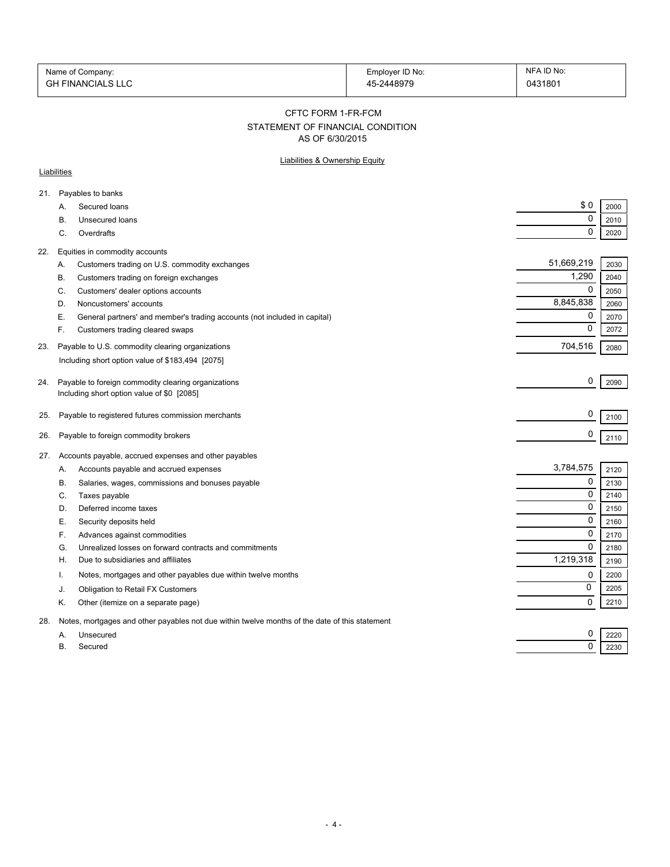| Name of Company:         | Employer ID No: | NFA ID No: |
|--------------------------|-----------------|------------|
| <b>GH FINANCIALS LLC</b> | 45-2448979      | 0431801    |

#### CFTC FORM 1-FR-FCM

# STATEMENT OF FINANCIAL CONDITION

AS OF 6/30/2015

## Liabilities & Ownership Equity

## **Liabilities**

| 21. |           | Payables to banks                                                                                 |            |      |
|-----|-----------|---------------------------------------------------------------------------------------------------|------------|------|
|     | A.        | Secured loans                                                                                     | \$0        | 2000 |
|     | В.        | Unsecured loans                                                                                   | 0          | 2010 |
|     | C.        | Overdrafts                                                                                        | 0          | 2020 |
| 22. |           | Equities in commodity accounts                                                                    |            |      |
|     | Α.        | Customers trading on U.S. commodity exchanges                                                     | 51,669,219 | 2030 |
|     | В.        | Customers trading on foreign exchanges                                                            | 1,290      | 2040 |
|     | C.        | Customers' dealer options accounts                                                                | 0          | 2050 |
|     | D.        | Noncustomers' accounts                                                                            | 8,845,838  | 2060 |
|     | Е.        | General partners' and member's trading accounts (not included in capital)                         | 0          | 2070 |
|     | F.        | Customers trading cleared swaps                                                                   | $\Omega$   | 2072 |
| 23. |           | Payable to U.S. commodity clearing organizations                                                  | 704,516    | 2080 |
|     |           | Including short option value of \$183,494 [2075]                                                  |            |      |
|     |           |                                                                                                   | 0          |      |
| 24. |           | Payable to foreign commodity clearing organizations<br>Including short option value of \$0 [2085] |            | 2090 |
|     |           |                                                                                                   |            |      |
| 25. |           | Payable to registered futures commission merchants                                                | 0          | 2100 |
| 26. |           | Payable to foreign commodity brokers                                                              | 0          | 2110 |
| 27. |           | Accounts payable, accrued expenses and other payables                                             |            |      |
|     | Α.        | Accounts payable and accrued expenses                                                             | 3,784,575  | 2120 |
|     | В.        | Salaries, wages, commissions and bonuses payable                                                  | 0          | 2130 |
|     | C.        | Taxes payable                                                                                     | $\Omega$   | 2140 |
|     | D.        | Deferred income taxes                                                                             | 0          | 2150 |
|     | Е.        | Security deposits held                                                                            | 0          | 2160 |
|     | F.        | Advances against commodities                                                                      | 0          | 2170 |
|     | G.        | Unrealized losses on forward contracts and commitments                                            | $\Omega$   | 2180 |
|     | H         | Due to subsidiaries and affiliates                                                                | 1,219,318  | 2190 |
|     | Ι.        | Notes, mortgages and other payables due within twelve months                                      | 0          | 2200 |
|     | J.        | Obligation to Retail FX Customers                                                                 | 0          | 2205 |
|     | Κ.        | Other (itemize on a separate page)                                                                | $\Omega$   | 2210 |
| 28. |           | Notes, mortgages and other payables not due within twelve months of the date of this statement    |            |      |
|     | A.        | Unsecured                                                                                         | 0          | 2220 |
|     | <b>B.</b> | Secured                                                                                           | 0          | 2230 |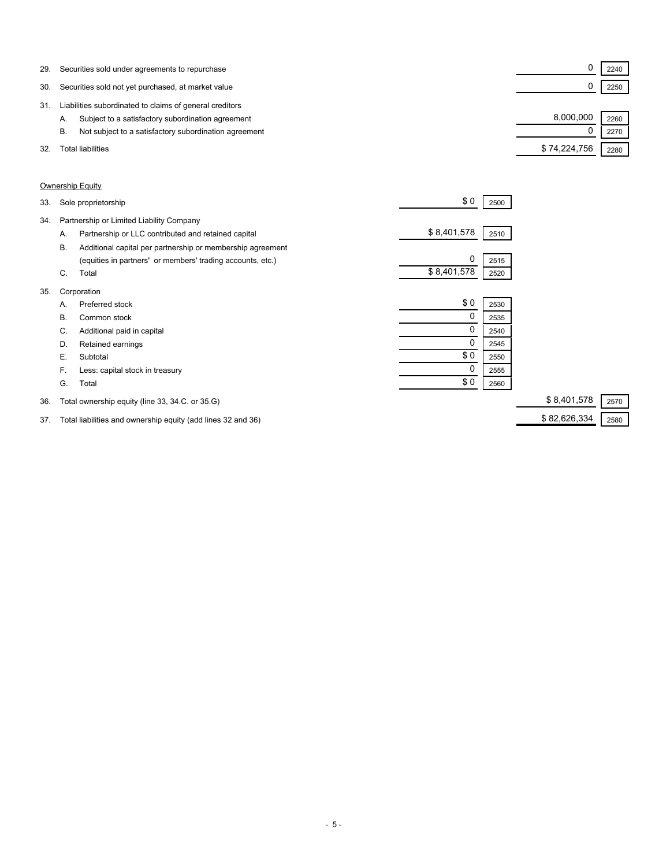| 29. | Securities sold under agreements to repurchase              |              | 2240 |  |
|-----|-------------------------------------------------------------|--------------|------|--|
| 30. | Securities sold not yet purchased, at market value          |              | 2250 |  |
| 31  | Liabilities subordinated to claims of general creditors     |              |      |  |
|     | Subject to a satisfactory subordination agreement<br>А.     | 8,000,000    | 2260 |  |
|     | Not subject to a satisfactory subordination agreement<br>В. |              | 2270 |  |
| 32. | Total liabilities                                           | \$74,224,756 | 2280 |  |

## Ownership Equity

| 34.<br>Partnership or Limited Liability Company<br>\$8,401,578<br>Partnership or LLC contributed and retained capital<br>2510<br>А.<br><b>B.</b><br>Additional capital per partnership or membership agreement<br>0<br>(equities in partners' or members' trading accounts, etc.)<br>2515<br>\$8,401,578<br>Total<br>C.<br>2520<br>35.<br>Corporation<br>\$0<br>Preferred stock<br>2530<br>А.<br>0<br>В.<br>Common stock<br>2535<br>0<br>Additional paid in capital<br>C.<br>2540<br>Retained earnings<br>D.<br>2545<br>\$0<br>Е.<br>Subtotal<br>2550<br>0<br>F.<br>Less: capital stock in treasury<br>2555<br>\$0<br>G.<br>Total<br>2560<br>\$8,401,578<br>Total ownership equity (line 33, 34.C. or 35.G)<br>36. |      |
|--------------------------------------------------------------------------------------------------------------------------------------------------------------------------------------------------------------------------------------------------------------------------------------------------------------------------------------------------------------------------------------------------------------------------------------------------------------------------------------------------------------------------------------------------------------------------------------------------------------------------------------------------------------------------------------------------------------------|------|
|                                                                                                                                                                                                                                                                                                                                                                                                                                                                                                                                                                                                                                                                                                                    |      |
|                                                                                                                                                                                                                                                                                                                                                                                                                                                                                                                                                                                                                                                                                                                    |      |
|                                                                                                                                                                                                                                                                                                                                                                                                                                                                                                                                                                                                                                                                                                                    |      |
|                                                                                                                                                                                                                                                                                                                                                                                                                                                                                                                                                                                                                                                                                                                    |      |
|                                                                                                                                                                                                                                                                                                                                                                                                                                                                                                                                                                                                                                                                                                                    |      |
|                                                                                                                                                                                                                                                                                                                                                                                                                                                                                                                                                                                                                                                                                                                    |      |
|                                                                                                                                                                                                                                                                                                                                                                                                                                                                                                                                                                                                                                                                                                                    |      |
|                                                                                                                                                                                                                                                                                                                                                                                                                                                                                                                                                                                                                                                                                                                    |      |
|                                                                                                                                                                                                                                                                                                                                                                                                                                                                                                                                                                                                                                                                                                                    |      |
|                                                                                                                                                                                                                                                                                                                                                                                                                                                                                                                                                                                                                                                                                                                    |      |
|                                                                                                                                                                                                                                                                                                                                                                                                                                                                                                                                                                                                                                                                                                                    |      |
|                                                                                                                                                                                                                                                                                                                                                                                                                                                                                                                                                                                                                                                                                                                    |      |
|                                                                                                                                                                                                                                                                                                                                                                                                                                                                                                                                                                                                                                                                                                                    |      |
|                                                                                                                                                                                                                                                                                                                                                                                                                                                                                                                                                                                                                                                                                                                    | 2570 |

37. Total liabilities and ownership equity (add lines 32 and 36) \$ 82,626,334 2580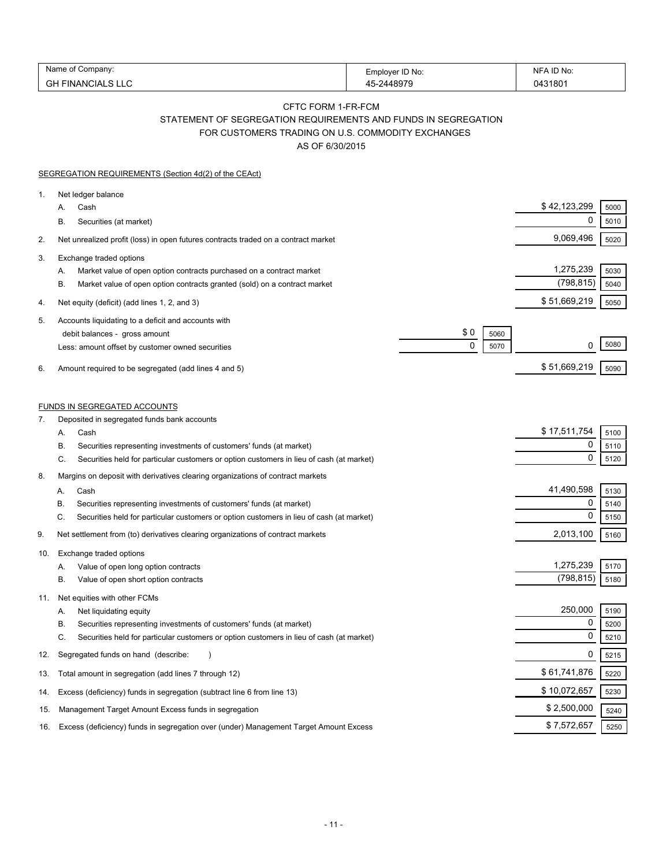| Name<br>`ompany.            | Employer ID No: | ID No:<br>N⊩      |
|-----------------------------|-----------------|-------------------|
| GH<br>NCIALS LLC<br>, INAN' | 2448979         | 043180 $^{\circ}$ |

# CFTC FORM 1-FR-FCM STATEMENT OF SEGREGATION REQUIREMENTS AND FUNDS IN SEGREGATION

FOR CUSTOMERS TRADING ON U.S. COMMODITY EXCHANGES

AS OF 6/30/2015

|     | SEGREGATION REQUIREMENTS (Section 4d(2) of the CEAct)                                                                                                                       |                         |              |
|-----|-----------------------------------------------------------------------------------------------------------------------------------------------------------------------------|-------------------------|--------------|
| 1.  | Net ledger balance<br>Cash<br>А.<br>Securities (at market)<br>В.                                                                                                            | \$42,123,299<br>0       | 5000<br>5010 |
| 2.  | Net unrealized profit (loss) in open futures contracts traded on a contract market                                                                                          | 9,069,496               | 5020         |
| 3.  | Exchange traded options                                                                                                                                                     |                         |              |
|     | Market value of open option contracts purchased on a contract market<br>А.<br>В.<br>Market value of open option contracts granted (sold) on a contract market               | 1,275,239<br>(798, 815) | 5030<br>5040 |
| 4.  | Net equity (deficit) (add lines 1, 2, and 3)                                                                                                                                | \$51,669,219            | 5050         |
| 5.  | Accounts liquidating to a deficit and accounts with<br>\$0<br>debit balances - gross amount<br>5060<br>0<br>5070<br>Less: amount offset by customer owned securities        | 0                       | 5080         |
| 6.  | Amount required to be segregated (add lines 4 and 5)                                                                                                                        | \$51,669,219            | 5090         |
| 7.  | FUNDS IN SEGREGATED ACCOUNTS<br>Deposited in segregated funds bank accounts                                                                                                 |                         |              |
|     | Cash<br>А.                                                                                                                                                                  | \$17,511,754            | 5100         |
|     | Securities representing investments of customers' funds (at market)<br>В.<br>C.<br>Securities held for particular customers or option customers in lieu of cash (at market) | 0<br>$\mathbf 0$        | 5110<br>5120 |
| 8.  | Margins on deposit with derivatives clearing organizations of contract markets                                                                                              |                         |              |
|     | Cash<br>А.                                                                                                                                                                  | 41,490,598              | 5130         |
|     | Securities representing investments of customers' funds (at market)<br>В.                                                                                                   | 0                       | 5140         |
|     | C.<br>Securities held for particular customers or option customers in lieu of cash (at market)                                                                              | $\mathbf 0$             | 5150         |
| 9.  | Net settlement from (to) derivatives clearing organizations of contract markets                                                                                             | 2,013,100               | 5160         |
| 10. | Exchange traded options<br>Value of open long option contracts<br>Α.                                                                                                        | 1,275,239               | 5170         |
|     | Β.<br>Value of open short option contracts                                                                                                                                  | (798, 815)              | 5180         |
| 11. | Net equities with other FCMs<br>Net liquidating equity<br>А.                                                                                                                | 250,000                 | 5190         |
|     | В.<br>Securities representing investments of customers' funds (at market)                                                                                                   | 0                       | 5200         |
|     | C.<br>Securities held for particular customers or option customers in lieu of cash (at market)                                                                              | $\mathbf 0$             | 5210         |
| 12. | Segregated funds on hand (describe:                                                                                                                                         | 0                       | 5215         |
| 13. | Total amount in segregation (add lines 7 through 12)                                                                                                                        | \$61,741,876            | 5220         |
| 14. | Excess (deficiency) funds in segregation (subtract line 6 from line 13)                                                                                                     | \$10,072,657            | 5230         |
| 15. | Management Target Amount Excess funds in segregation                                                                                                                        | \$2,500,000             | 5240         |
| 16. | Excess (deficiency) funds in segregation over (under) Management Target Amount Excess                                                                                       | \$7,572,657             | 5250         |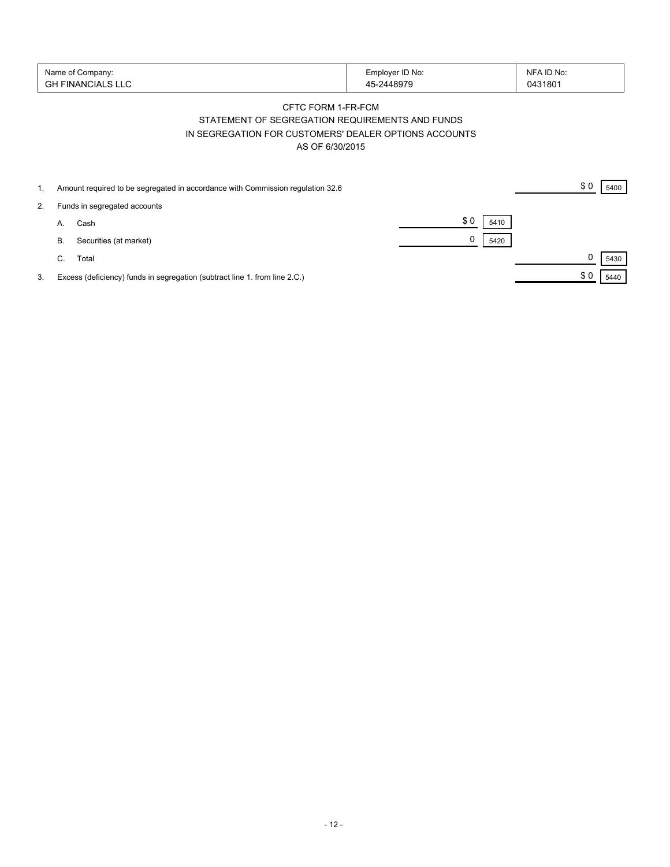| Name of Company:<br>' FINANCIALS LLU<br>GH | Employer ID No:<br>$-2448979$ | NFA ID No:<br>0431801 |
|--------------------------------------------|-------------------------------|-----------------------|
|--------------------------------------------|-------------------------------|-----------------------|

# CFTC FORM 1-FR-FCM STATEMENT OF SEGREGATION REQUIREMENTS AND FUNDS IN SEGREGATION FOR CUSTOMERS' DEALER OPTIONS ACCOUNTS AS OF 6/30/2015

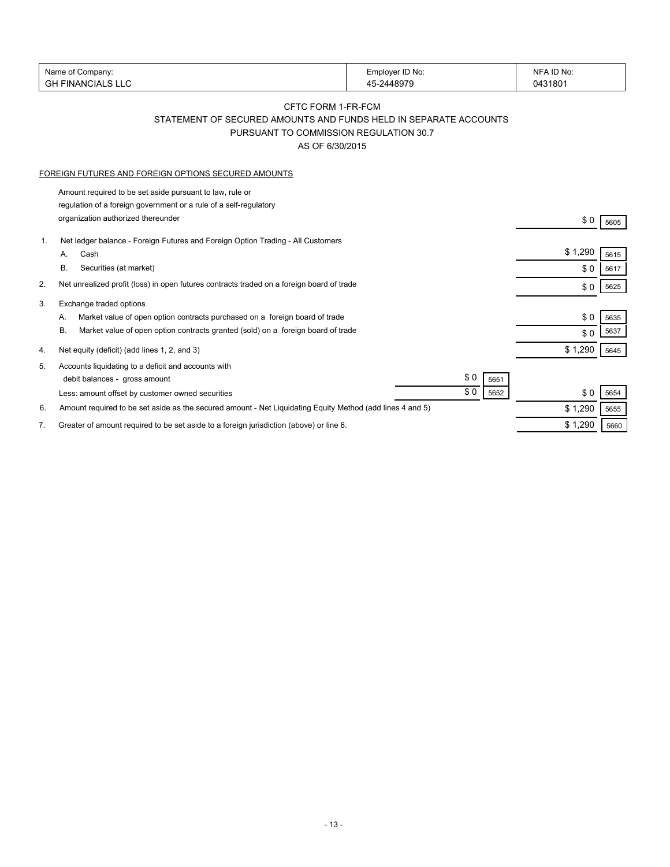|    | Name of Company:                                                                                          | Employer ID No: | NFA ID No: |      |
|----|-----------------------------------------------------------------------------------------------------------|-----------------|------------|------|
|    | <b>GH FINANCIALS LLC</b>                                                                                  | 45-2448979      | 0431801    |      |
|    |                                                                                                           |                 |            |      |
|    | CFTC FORM 1-FR-FCM                                                                                        |                 |            |      |
|    | STATEMENT OF SECURED AMOUNTS AND FUNDS HELD IN SEPARATE ACCOUNTS                                          |                 |            |      |
|    | PURSUANT TO COMMISSION REGULATION 30.7                                                                    |                 |            |      |
|    | AS OF 6/30/2015                                                                                           |                 |            |      |
|    | FOREIGN FUTURES AND FOREIGN OPTIONS SECURED AMOUNTS                                                       |                 |            |      |
|    |                                                                                                           |                 |            |      |
|    | Amount required to be set aside pursuant to law, rule or                                                  |                 |            |      |
|    | regulation of a foreign government or a rule of a self-regulatory<br>organization authorized thereunder   |                 |            |      |
|    |                                                                                                           |                 | \$0        | 5605 |
| 1. | Net ledger balance - Foreign Futures and Foreign Option Trading - All Customers                           |                 |            |      |
|    | Cash<br>А.                                                                                                |                 | \$1,290    | 5615 |
|    | В.<br>Securities (at market)                                                                              |                 | \$0        | 5617 |
| 2. | Net unrealized profit (loss) in open futures contracts traded on a foreign board of trade                 |                 | \$0        | 5625 |
| 3. | Exchange traded options                                                                                   |                 |            |      |
|    | Market value of open option contracts purchased on a foreign board of trade<br>А.                         |                 | \$0        | 5635 |
|    | В.<br>Market value of open option contracts granted (sold) on a foreign board of trade                    |                 | \$0        | 5637 |
|    |                                                                                                           |                 |            |      |
| 4. | Net equity (deficit) (add lines 1, 2, and 3)                                                              |                 | \$1,290    | 5645 |
| 5. | Accounts liquidating to a deficit and accounts with                                                       |                 |            |      |
|    | debit balances - gross amount                                                                             | \$0<br>5651     |            |      |
|    | Less: amount offset by customer owned securities                                                          | \$0<br>5652     | \$0        | 5654 |
| 6. | Amount required to be set aside as the secured amount - Net Liquidating Equity Method (add lines 4 and 5) |                 | \$1,290    | 5655 |
| 7. | Greater of amount required to be set aside to a foreign jurisdiction (above) or line 6.                   |                 | \$1,290    | 5660 |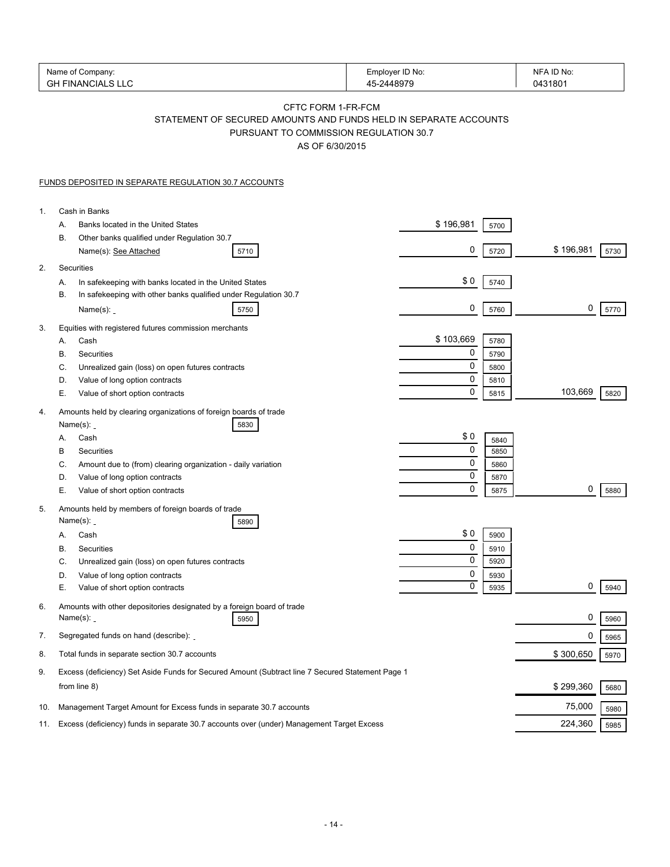|                | Name of Company:<br><b>GH FINANCIALS LLC</b>                                                                                                        | Employer ID No:<br>45-2448979 | NFA ID No:<br>0431801 |
|----------------|-----------------------------------------------------------------------------------------------------------------------------------------------------|-------------------------------|-----------------------|
|                | CFTC FORM 1-FR-FCM<br>STATEMENT OF SECURED AMOUNTS AND FUNDS HELD IN SEPARATE ACCOUNTS<br>PURSUANT TO COMMISSION REGULATION 30.7<br>AS OF 6/30/2015 |                               |                       |
|                | <b>FUNDS DEPOSITED IN SEPARATE REGULATION 30.7 ACCOUNTS</b>                                                                                         |                               |                       |
| $\mathbf{1}$ . | Cash in Banks                                                                                                                                       |                               |                       |
|                | Banks located in the United States<br>А.                                                                                                            | \$196,981<br>5700             |                       |
|                | В.<br>Other banks qualified under Regulation 30.7<br>Name(s): See Attached<br>5710                                                                  | 0<br>5720                     | \$196,981<br>5730     |
| 2.             | Securities                                                                                                                                          |                               |                       |
|                | In safekeeping with banks located in the United States<br>А.                                                                                        | \$0<br>5740                   |                       |
|                | In safekeeping with other banks qualified under Regulation 30.7<br>В.                                                                               |                               |                       |
|                | Name $(s)$ :<br>5750                                                                                                                                | 0<br>5760                     | 0<br>5770             |
| 3.             | Equities with registered futures commission merchants<br>Cash                                                                                       | \$103,669                     |                       |
|                | А.<br>В.<br>Securities                                                                                                                              | 5780<br>0<br>5790             |                       |
|                | C.<br>Unrealized gain (loss) on open futures contracts                                                                                              | 0<br>5800                     |                       |
|                | D.<br>Value of long option contracts                                                                                                                | 0<br>5810                     |                       |
|                | Е.<br>Value of short option contracts                                                                                                               | 0<br>5815                     | 103,669<br>5820       |
| 4.             | Amounts held by clearing organizations of foreign boards of trade                                                                                   |                               |                       |
|                | Name $(s)$ :<br>5830<br>Cash<br>А.                                                                                                                  | \$0                           |                       |
|                | В<br>Securities                                                                                                                                     | 5840<br>0<br>5850             |                       |
|                | C.<br>Amount due to (from) clearing organization - daily variation                                                                                  | 0<br>5860                     |                       |
|                | Value of long option contracts<br>D.                                                                                                                | 0<br>5870                     |                       |
|                | Е.<br>Value of short option contracts                                                                                                               | 0<br>5875                     | 0<br>5880             |
| 5.             | Amounts held by members of foreign boards of trade                                                                                                  |                               |                       |
|                | Name $(s)$ :<br>5890                                                                                                                                | \$0                           |                       |
|                | Cash<br>А.<br>В.<br>Securities                                                                                                                      | 5900<br>0<br>5910             |                       |
|                | C.<br>Unrealized gain (loss) on open futures contracts                                                                                              | 0<br>5920                     |                       |
|                | Value of long option contracts<br>D.                                                                                                                | 0<br>5930                     |                       |
|                | Е.<br>Value of short option contracts                                                                                                               | 0<br>5935                     | 0<br>5940             |
| 6.             | Amounts with other depositories designated by a foreign board of trade<br>Name $(s)$ :<br>5950                                                      |                               | 0<br>5960             |
| 7.             | Segregated funds on hand (describe):                                                                                                                |                               | 0<br>5965             |
| 8.             | Total funds in separate section 30.7 accounts                                                                                                       |                               | \$300,650<br>5970     |
| 9.             | Excess (deficiency) Set Aside Funds for Secured Amount (Subtract line 7 Secured Statement Page 1                                                    |                               |                       |
|                | from line 8)                                                                                                                                        |                               | \$299,360<br>5680     |
| 10.            | Management Target Amount for Excess funds in separate 30.7 accounts                                                                                 |                               | 75,000<br>5980        |
| 11.            | Excess (deficiency) funds in separate 30.7 accounts over (under) Management Target Excess                                                           |                               | 224,360<br>5985       |
|                |                                                                                                                                                     |                               |                       |